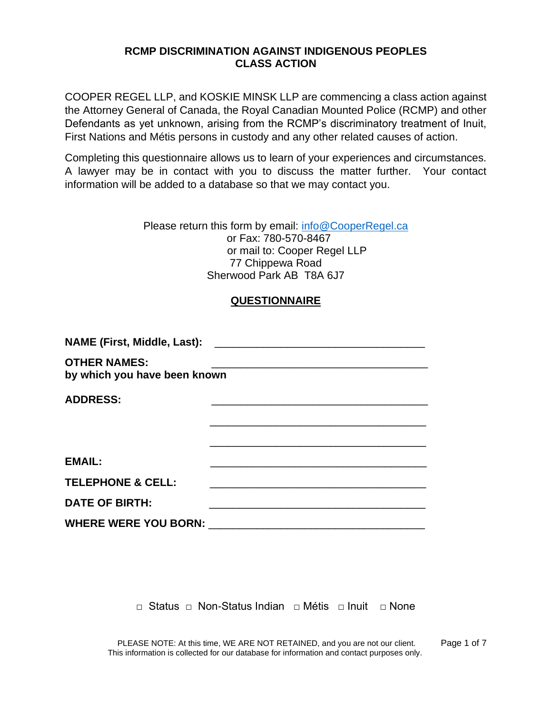## **RCMP DISCRIMINATION AGAINST INDIGENOUS PEOPLES CLASS ACTION**

COOPER REGEL LLP, and KOSKIE MINSK LLP are commencing a class action against the Attorney General of Canada, the Royal Canadian Mounted Police (RCMP) and other Defendants as yet unknown, arising from the RCMP's discriminatory treatment of Inuit, First Nations and Métis persons in custody and any other related causes of action.

Completing this questionnaire allows us to learn of your experiences and circumstances. A lawyer may be in contact with you to discuss the matter further. Your contact information will be added to a database so that we may contact you.

> Please return this form by email: [info@CooperRegel.ca](mailto:info@CooperRegel.ca) or Fax: 780-570-8467 or mail to: Cooper Regel LLP 77 Chippewa Road Sherwood Park AB T8A 6J7

## **QUESTIONNAIRE**

| <b>NAME (First, Middle, Last):</b><br><u> 1980 - John Stein, Amerikaansk politiker (</u> † 1920) |                                                                                                                |  |
|--------------------------------------------------------------------------------------------------|----------------------------------------------------------------------------------------------------------------|--|
| <b>OTHER NAMES:</b><br>by which you have been known                                              |                                                                                                                |  |
| <b>ADDRESS:</b>                                                                                  |                                                                                                                |  |
|                                                                                                  |                                                                                                                |  |
|                                                                                                  |                                                                                                                |  |
| <b>EMAIL:</b>                                                                                    |                                                                                                                |  |
| <b>TELEPHONE &amp; CELL:</b>                                                                     | <u> 1989 - Johann John Stone, mars et al. (</u>                                                                |  |
| <b>DATE OF BIRTH:</b>                                                                            |                                                                                                                |  |
|                                                                                                  | WHERE WERE YOU BORN: Network and the state of the state of the state of the state of the state of the state of |  |

**□** Status □ Non-Status Indian □ Métis □ Inuit □ None

PLEASE NOTE: At this time, WE ARE NOT RETAINED, and you are not our client. Page 1 of 7 This information is collected for our database for information and contact purposes only.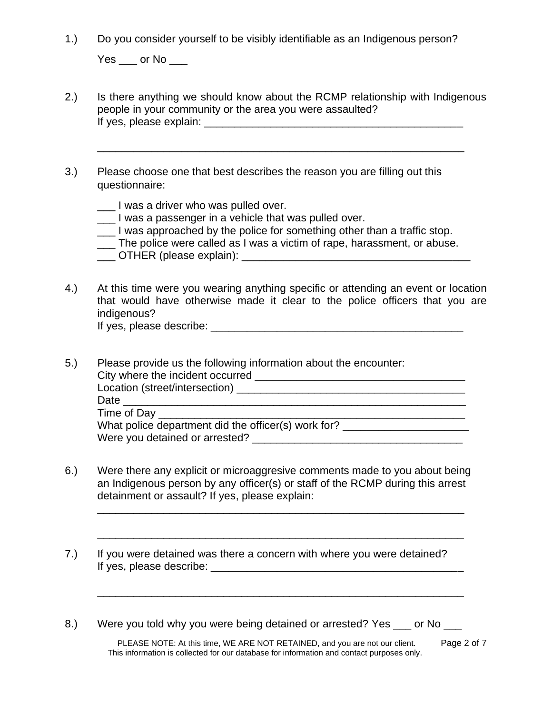1.) Do you consider yourself to be visibly identifiable as an Indigenous person?

 $Yes$  \_\_\_ or No \_\_\_\_

2.) Is there anything we should know about the RCMP relationship with Indigenous people in your community or the area you were assaulted? If yes, please explain: \_\_\_\_\_\_\_\_\_\_\_\_\_\_\_\_\_\_\_\_\_\_\_\_\_\_\_\_\_\_\_\_\_\_\_\_\_\_\_\_\_\_\_

\_\_\_\_\_\_\_\_\_\_\_\_\_\_\_\_\_\_\_\_\_\_\_\_\_\_\_\_\_\_\_\_\_\_\_\_\_\_\_\_\_\_\_\_\_\_\_\_\_\_\_\_\_\_\_\_\_\_\_\_\_

- 3.) Please choose one that best describes the reason you are filling out this questionnaire:
	- \_\_\_ I was a driver who was pulled over.
	- \_\_\_ I was a passenger in a vehicle that was pulled over.
	- \_\_\_ I was approached by the police for something other than a traffic stop.
	- \_\_\_ The police were called as I was a victim of rape, harassment, or abuse.
	- \_\_\_ OTHER (please explain): \_\_\_\_\_\_\_\_\_\_\_\_\_\_\_\_\_\_\_\_\_\_\_\_\_\_\_\_\_\_\_\_\_\_\_\_\_\_
- 4.) At this time were you wearing anything specific or attending an event or location that would have otherwise made it clear to the police officers that you are indigenous? If yes, please describe: \_\_\_\_\_\_\_\_\_\_\_\_\_\_\_\_\_\_\_\_\_\_\_\_\_\_\_\_\_\_\_\_\_\_\_\_\_\_\_\_\_\_

| 5.) | Please provide us the following information about the encounter: |
|-----|------------------------------------------------------------------|
|     |                                                                  |
|     | Location (street/intersection) __________                        |
|     | Date                                                             |
|     |                                                                  |
|     | What police department did the officer(s) work for?              |
|     | Were you detained or arrested?                                   |

6.) Were there any explicit or microaggresive comments made to you about being an Indigenous person by any officer(s) or staff of the RCMP during this arrest detainment or assault? If yes, please explain:

\_\_\_\_\_\_\_\_\_\_\_\_\_\_\_\_\_\_\_\_\_\_\_\_\_\_\_\_\_\_\_\_\_\_\_\_\_\_\_\_\_\_\_\_\_\_\_\_\_\_\_\_\_\_\_\_\_\_\_\_\_

\_\_\_\_\_\_\_\_\_\_\_\_\_\_\_\_\_\_\_\_\_\_\_\_\_\_\_\_\_\_\_\_\_\_\_\_\_\_\_\_\_\_\_\_\_\_\_\_\_\_\_\_\_\_\_\_\_\_\_\_\_

\_\_\_\_\_\_\_\_\_\_\_\_\_\_\_\_\_\_\_\_\_\_\_\_\_\_\_\_\_\_\_\_\_\_\_\_\_\_\_\_\_\_\_\_\_\_\_\_\_\_\_\_\_\_\_\_\_\_\_\_\_

- 7.) If you were detained was there a concern with where you were detained? If yes, please describe: \_\_\_\_\_\_\_\_\_\_\_\_\_\_\_\_\_\_\_\_\_\_\_\_\_\_\_\_\_\_\_\_\_\_\_\_\_\_\_\_\_\_
- 8.) Were you told why you were being detained or arrested? Yes \_\_\_ or No

PLEASE NOTE: At this time, WE ARE NOT RETAINED, and you are not our client. Page 2 of 7 This information is collected for our database for information and contact purposes only.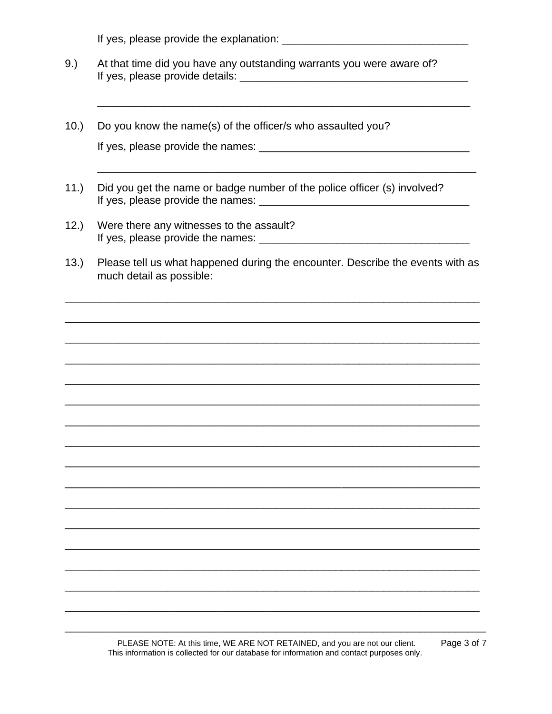- At that time did you have any outstanding warrants you were aware of?  $9.)$
- $10.$ Do you know the name(s) of the officer/s who assaulted you?
- $11.)$ Did you get the name or badge number of the police officer (s) involved?
- $12.)$ Were there any witnesses to the assault? If yes, please provide the names: \_\_\_\_
- $13.)$ Please tell us what happened during the encounter. Describe the events with as much detail as possible: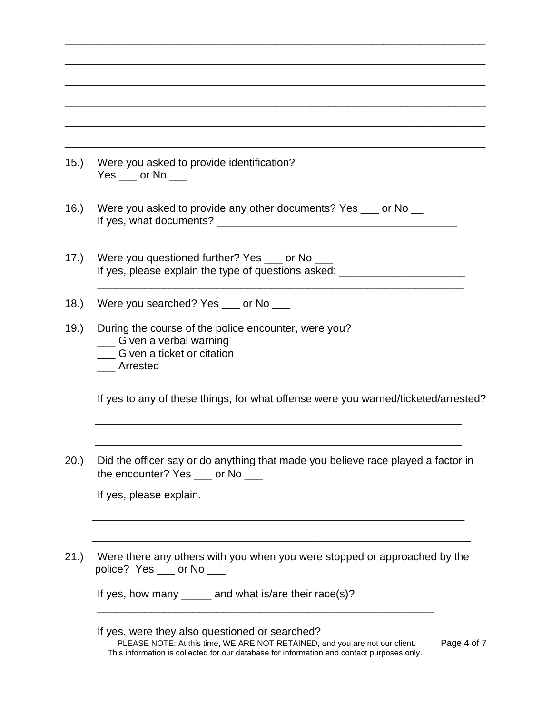| (15.) | Were you asked to provide identification?<br>$Yes$ ___ or No ___                                                                     |  |
|-------|--------------------------------------------------------------------------------------------------------------------------------------|--|
| 16.   | Were you asked to provide any other documents? Yes ___ or No __                                                                      |  |
| 17.)  | Were you questioned further? Yes ____ or No ____<br>If yes, please explain the type of questions asked: ____________________________ |  |
| 18.   | Were you searched? Yes __ or No __                                                                                                   |  |
| 19.   | During the course of the police encounter, were you?<br>_ Given a verbal warning<br>Given a ticket or citation<br>Arrested           |  |
|       | If yes to any of these things, for what offense were you warned/ticketed/arrested?                                                   |  |
| (20.) | Did the officer say or do anything that made you believe race played a factor in<br>the encounter? Yes ___ or No ___                 |  |
|       | If yes, please explain.                                                                                                              |  |
| 21.   | Were there any others with you when you were stopped or approached by the<br>police? Yes ___ or No ___                               |  |
|       | If yes, how many $\_\_\_\_\_$ and what is/are their race(s)?                                                                         |  |

\_\_\_\_\_\_\_\_\_\_\_\_\_\_\_\_\_\_\_\_\_\_\_\_\_\_\_\_\_\_\_\_\_\_\_\_\_\_\_\_\_\_\_\_\_\_\_\_\_\_\_\_\_\_\_\_\_\_\_\_\_\_\_\_\_\_\_\_\_\_

## PLEASE NOTE: At this time, WE ARE NOT RETAINED, and you are not our client. Page 4 of 7 This information is collected for our database for information and contact purposes only. If yes, were they also questioned or searched?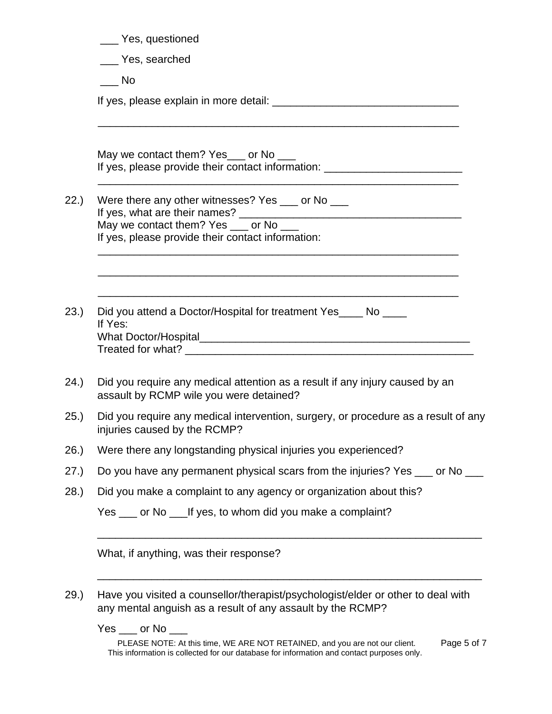|       | __ Yes, questioned                                                                                                                                                                                           |
|-------|--------------------------------------------------------------------------------------------------------------------------------------------------------------------------------------------------------------|
|       | ___ Yes, searched                                                                                                                                                                                            |
|       | $\overline{\phantom{0}}$ No                                                                                                                                                                                  |
|       |                                                                                                                                                                                                              |
|       | May we contact them? Yes___ or No ___<br>If yes, please provide their contact information: ______________________________                                                                                    |
| 22.)  | Were there any other witnesses? Yes ___ or No ___<br>May we contact them? Yes ___ or No ___                                                                                                                  |
|       | If yes, please provide their contact information:                                                                                                                                                            |
| 23.)  | Did you attend a Doctor/Hospital for treatment Yes____ No ____<br>If Yes:                                                                                                                                    |
| 24.)  | Did you require any medical attention as a result if any injury caused by an<br>assault by RCMP wile you were detained?                                                                                      |
| 25.)  | Did you require any medical intervention, surgery, or procedure as a result of any<br>injuries caused by the RCMP?                                                                                           |
| (26.) | Were there any longstanding physical injuries you experienced?                                                                                                                                               |
| (27.) | Do you have any permanent physical scars from the injuries? Yes ___ or No ___                                                                                                                                |
| 28.)  | Did you make a complaint to any agency or organization about this?                                                                                                                                           |
|       | Yes ___ or No ____ If yes, to whom did you make a complaint?                                                                                                                                                 |
|       | What, if anything, was their response?                                                                                                                                                                       |
| 29.)  | Have you visited a counsellor/therapist/psychologist/elder or other to deal with<br>any mental anguish as a result of any assault by the RCMP?                                                               |
|       | Yes ___ or No ___<br>PLEASE NOTE: At this time, WE ARE NOT RETAINED, and you are not our client.<br>Page 5 of 7<br>This information is collected for our database for information and contact purposes only. |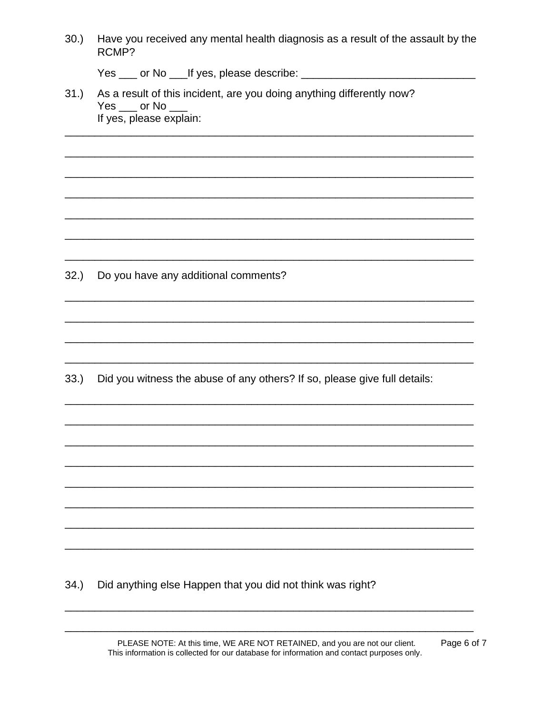| 30.)<br>Have you received any mental health diagnosis as a result of the assault by the<br>RCMP? |                                                                                                                         |  |  |
|--------------------------------------------------------------------------------------------------|-------------------------------------------------------------------------------------------------------------------------|--|--|
|                                                                                                  |                                                                                                                         |  |  |
| 31.)                                                                                             | As a result of this incident, are you doing anything differently now?<br>$Yes$ ___ or No ___<br>If yes, please explain: |  |  |
|                                                                                                  |                                                                                                                         |  |  |
|                                                                                                  |                                                                                                                         |  |  |
| 32.)                                                                                             | Do you have any additional comments?                                                                                    |  |  |
|                                                                                                  |                                                                                                                         |  |  |
| 33.)                                                                                             | Did you witness the abuse of any others? If so, please give full details:                                               |  |  |
|                                                                                                  |                                                                                                                         |  |  |
|                                                                                                  |                                                                                                                         |  |  |
|                                                                                                  |                                                                                                                         |  |  |
|                                                                                                  |                                                                                                                         |  |  |

 $34.$ Did anything else Happen that you did not think was right?

> PLEASE NOTE: At this time, WE ARE NOT RETAINED, and you are not our client. This information is collected for our database for information and contact purposes only.